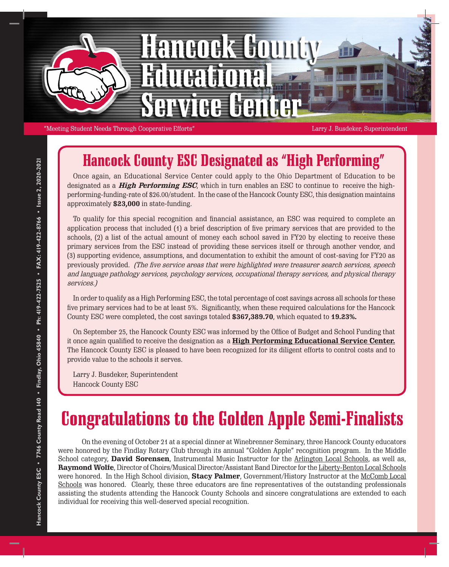

"Meeting Student Needs Through Cooperative Efforts" Larry J. Busdeker, Superintendent

## Hancock County ESC Designated as "High Performing"

Once again, an Educational Service Center could apply to the Ohio Department of Education to be designated as a **High Performing ESC**, which in turn enables an ESC to continue to receive the highperforming-funding-rate of \$26.00/student. In the case of the Hancock County ESC, this designation maintains approximately **\$23,000** in state-funding.

To qualify for this special recognition and financial assistance, an ESC was required to complete an application process that included (1) a brief description of five primary services that are provided to the schools, (2) a list of the actual amount of money each school saved in FY20 by electing to receive these primary services from the ESC instead of providing these services itself or through another vendor, and (3) supporting evidence, assumptions, and documentation to exhibit the amount of cost-saving for FY20 as previously provided. (The five service areas that were highlighted were treasurer search services, speech and language pathology services, psychology services, occupational therapy services, and physical therapy services.)

In order to qualify as a High Performing ESC, the total percentage of cost savings across all schools for these five primary services had to be at least 5%. Significantly, when these required calculations for the Hancock County ESC were completed, the cost savings totaled **\$367,389.70**, which equated to **19.23%.**

On September 25, the Hancock County ESC was informed by the Office of Budget and School Funding that it once again qualified to receive the designation as a **High Performing Educational Service Center.** The Hancock County ESC is pleased to have been recognized for its diligent efforts to control costs and to provide value to the schools it serves.

Larry J. Busdeker, Superintendent Hancock County ESC

## Congratulations to the Golden Apple Semi-Finalists

On the evening of October 21 at a special dinner at Winebrenner Seminary, three Hancock County educators were honored by the Findlay Rotary Club through its annual "Golden Apple" recognition program. In the Middle School category, **David Sorensen**, Instrumental Music Instructor for the Arlington Local Schools, as well as, **Raymond Wolfe**, Director of Choirs/Musical Director/Assistant Band Director for the Liberty-Benton Local Schools were honored. In the High School division, **Stacy Palmer**, Government/History Instructor at the McComb Local Schools was honored. Clearly, these three educators are fine representatives of the outstanding professionals assisting the students attending the Hancock County Schools and sincere congratulations are extended to each individual for receiving this well-deserved special recognition.